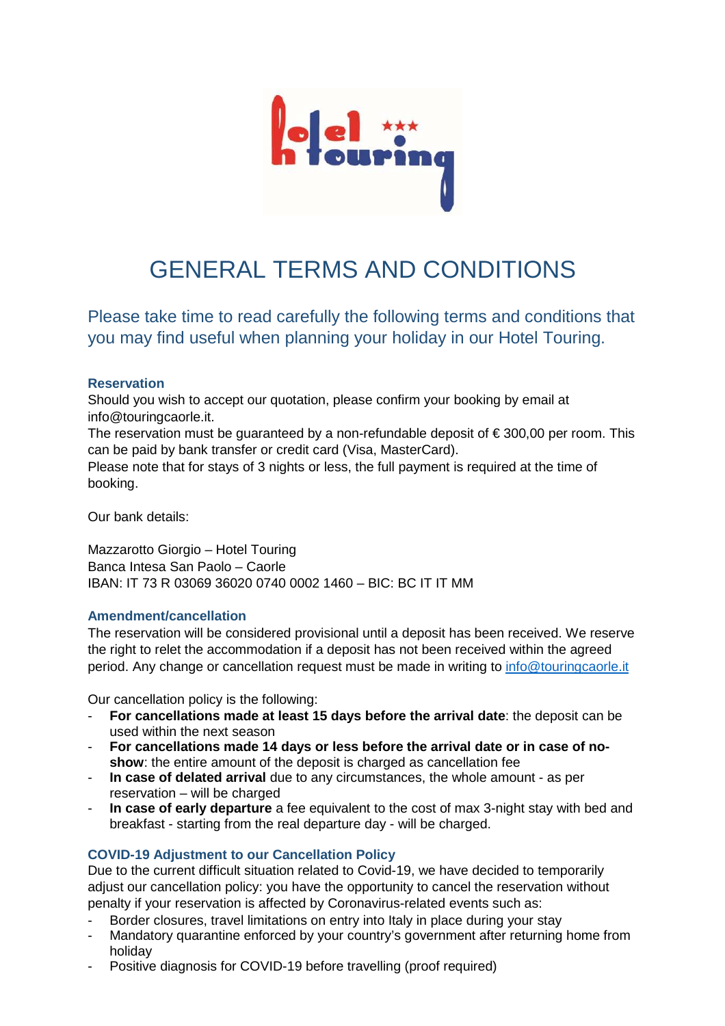

# GENERAL TERMS AND CONDITIONS

Please take time to read carefully the following terms and conditions that you may find useful when planning your holiday in our Hotel Touring.

## **Reservation**

Should you wish to accept our quotation, please confirm your booking by email at info@touringcaorle.it.

The reservation must be quaranteed by a non-refundable deposit of  $\epsilon$  300,00 per room. This can be paid by bank transfer or credit card (Visa, MasterCard). Please note that for stays of 3 nights or less, the full payment is required at the time of booking.

Our bank details:

Mazzarotto Giorgio – Hotel Touring Banca Intesa San Paolo – Caorle IBAN: IT 73 R 03069 36020 0740 0002 1460 – BIC: BC IT IT MM

## **Amendment/cancellation**

The reservation will be considered provisional until a deposit has been received. We reserve the right to relet the accommodation if a deposit has not been received within the agreed period. Any change or cancellation request must be made in writing to info@touringcaorle.it

Our cancellation policy is the following:

- **For cancellations made at least 15 days before the arrival date**: the deposit can be used within the next season
- **For cancellations made 14 days or less before the arrival date or in case of noshow**: the entire amount of the deposit is charged as cancellation fee
- **In case of delated arrival** due to any circumstances, the whole amount as per reservation – will be charged
- **In case of early departure** a fee equivalent to the cost of max 3-night stay with bed and breakfast - starting from the real departure day - will be charged.

## **COVID-19 Adjustment to our Cancellation Policy**

Due to the current difficult situation related to Covid-19, we have decided to temporarily adjust our cancellation policy: you have the opportunity to cancel the reservation without penalty if your reservation is affected by Coronavirus-related events such as:

- Border closures, travel limitations on entry into Italy in place during your stay
- Mandatory quarantine enforced by your country's government after returning home from holiday
- Positive diagnosis for COVID-19 before travelling (proof required)